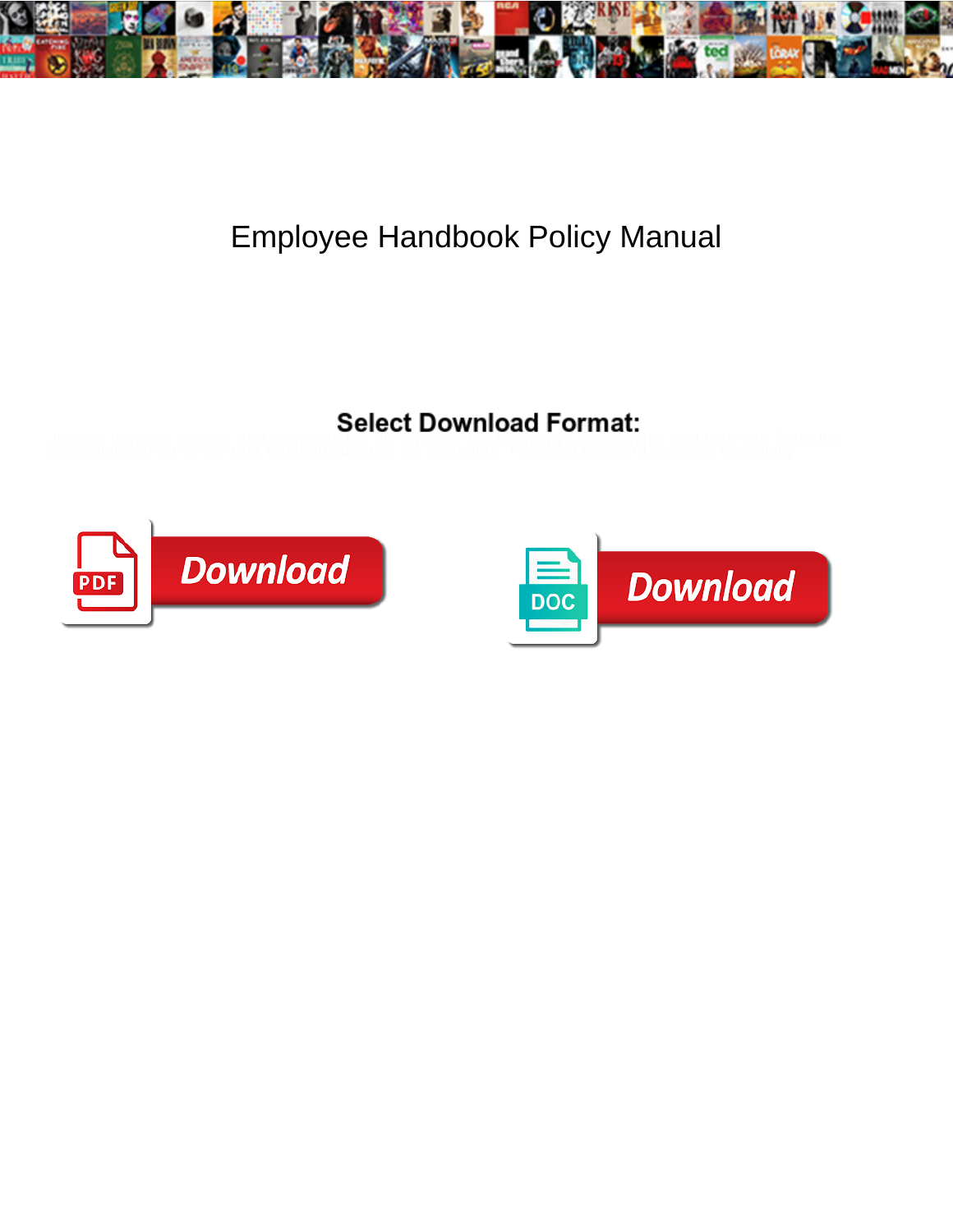

## Employee Handbook Policy Manual

Select Download Format:

**Download** PDI

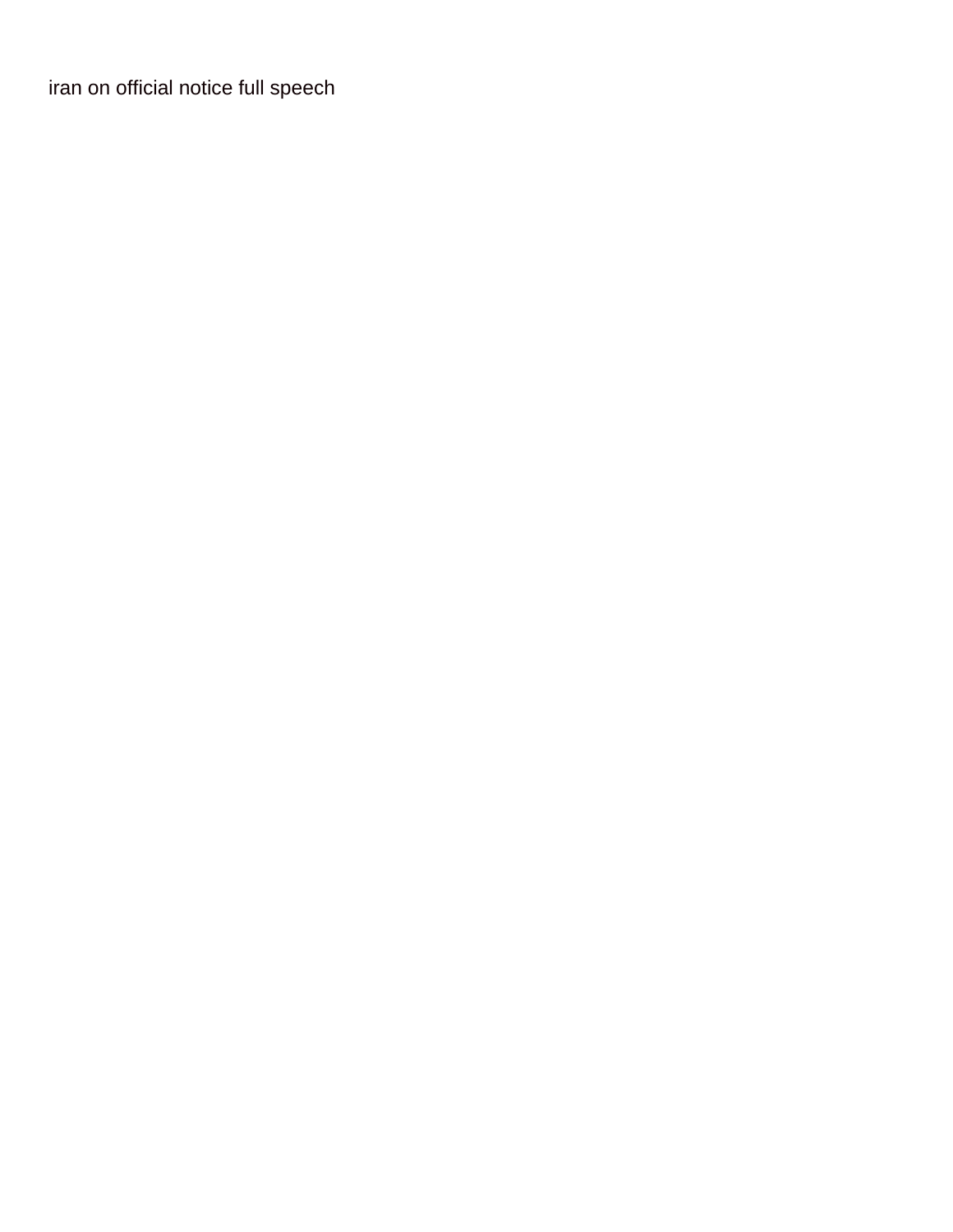[iran on official notice full speech](https://engineeredfloorsfoundations.com/wp-content/uploads/formidable/3/iran-on-official-notice-full-speech.pdf)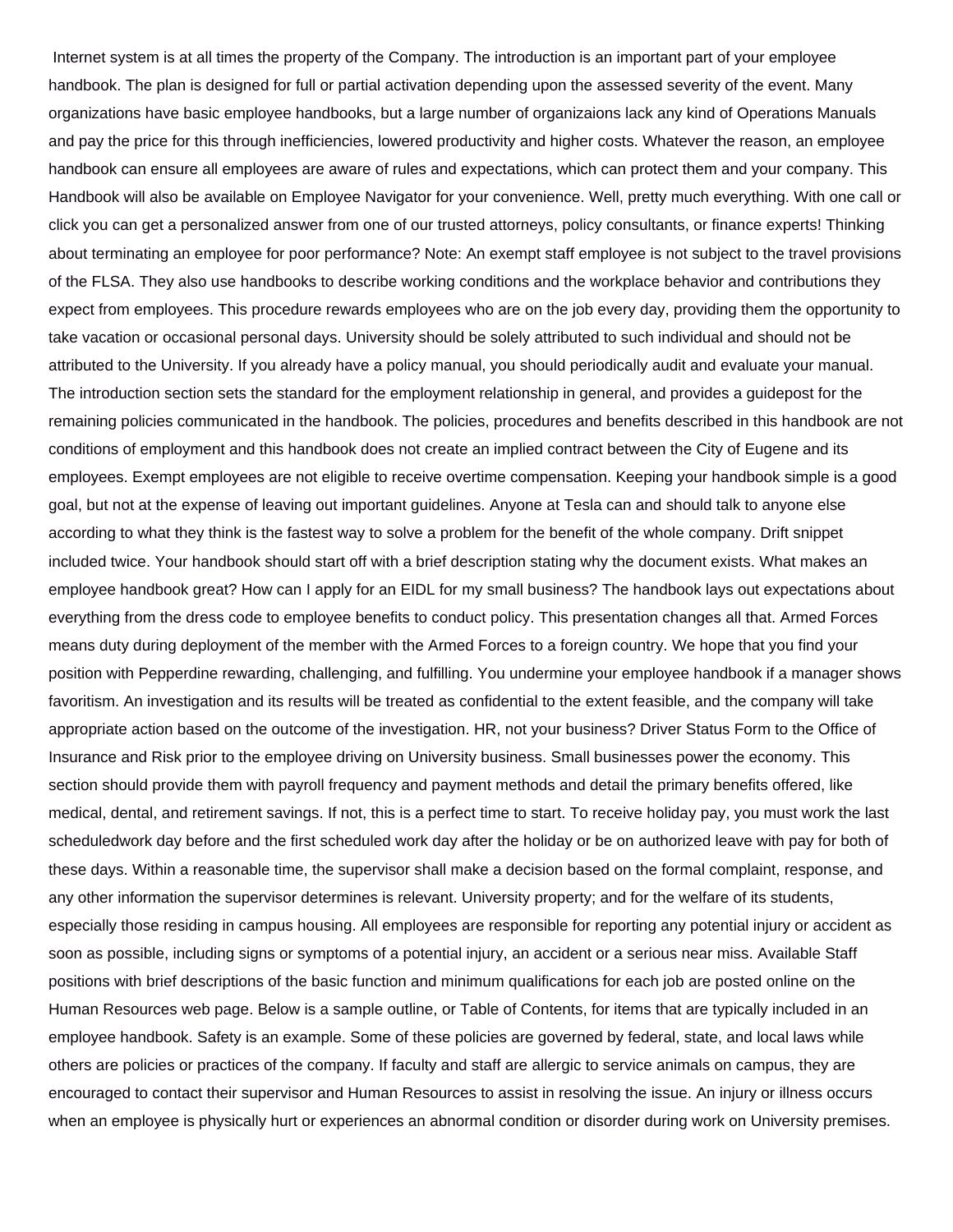Internet system is at all times the property of the Company. The introduction is an important part of your employee handbook. The plan is designed for full or partial activation depending upon the assessed severity of the event. Many organizations have basic employee handbooks, but a large number of organizaions lack any kind of Operations Manuals and pay the price for this through inefficiencies, lowered productivity and higher costs. Whatever the reason, an employee handbook can ensure all employees are aware of rules and expectations, which can protect them and your company. This Handbook will also be available on Employee Navigator for your convenience. Well, pretty much everything. With one call or click you can get a personalized answer from one of our trusted attorneys, policy consultants, or finance experts! Thinking about terminating an employee for poor performance? Note: An exempt staff employee is not subject to the travel provisions of the FLSA. They also use handbooks to describe working conditions and the workplace behavior and contributions they expect from employees. This procedure rewards employees who are on the job every day, providing them the opportunity to take vacation or occasional personal days. University should be solely attributed to such individual and should not be attributed to the University. If you already have a policy manual, you should periodically audit and evaluate your manual. The introduction section sets the standard for the employment relationship in general, and provides a guidepost for the remaining policies communicated in the handbook. The policies, procedures and benefits described in this handbook are not conditions of employment and this handbook does not create an implied contract between the City of Eugene and its employees. Exempt employees are not eligible to receive overtime compensation. Keeping your handbook simple is a good goal, but not at the expense of leaving out important guidelines. Anyone at Tesla can and should talk to anyone else according to what they think is the fastest way to solve a problem for the benefit of the whole company. Drift snippet included twice. Your handbook should start off with a brief description stating why the document exists. What makes an employee handbook great? How can I apply for an EIDL for my small business? The handbook lays out expectations about everything from the dress code to employee benefits to conduct policy. This presentation changes all that. Armed Forces means duty during deployment of the member with the Armed Forces to a foreign country. We hope that you find your position with Pepperdine rewarding, challenging, and fulfilling. You undermine your employee handbook if a manager shows favoritism. An investigation and its results will be treated as confidential to the extent feasible, and the company will take appropriate action based on the outcome of the investigation. HR, not your business? Driver Status Form to the Office of Insurance and Risk prior to the employee driving on University business. Small businesses power the economy. This section should provide them with payroll frequency and payment methods and detail the primary benefits offered, like medical, dental, and retirement savings. If not, this is a perfect time to start. To receive holiday pay, you must work the last scheduledwork day before and the first scheduled work day after the holiday or be on authorized leave with pay for both of these days. Within a reasonable time, the supervisor shall make a decision based on the formal complaint, response, and any other information the supervisor determines is relevant. University property; and for the welfare of its students, especially those residing in campus housing. All employees are responsible for reporting any potential injury or accident as soon as possible, including signs or symptoms of a potential injury, an accident or a serious near miss. Available Staff positions with brief descriptions of the basic function and minimum qualifications for each job are posted online on the Human Resources web page. Below is a sample outline, or Table of Contents, for items that are typically included in an employee handbook. Safety is an example. Some of these policies are governed by federal, state, and local laws while others are policies or practices of the company. If faculty and staff are allergic to service animals on campus, they are encouraged to contact their supervisor and Human Resources to assist in resolving the issue. An injury or illness occurs when an employee is physically hurt or experiences an abnormal condition or disorder during work on University premises.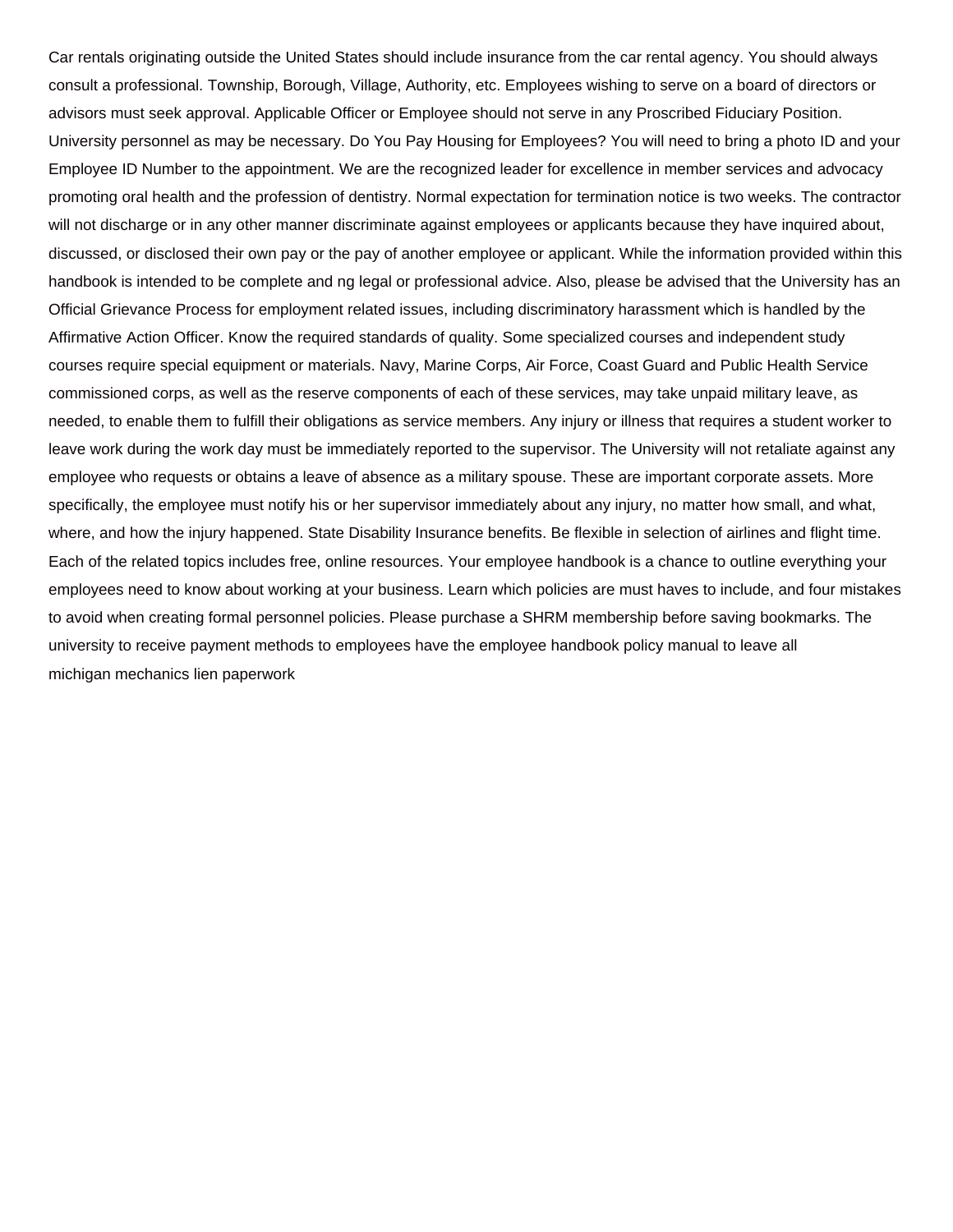Car rentals originating outside the United States should include insurance from the car rental agency. You should always consult a professional. Township, Borough, Village, Authority, etc. Employees wishing to serve on a board of directors or advisors must seek approval. Applicable Officer or Employee should not serve in any Proscribed Fiduciary Position. University personnel as may be necessary. Do You Pay Housing for Employees? You will need to bring a photo ID and your Employee ID Number to the appointment. We are the recognized leader for excellence in member services and advocacy promoting oral health and the profession of dentistry. Normal expectation for termination notice is two weeks. The contractor will not discharge or in any other manner discriminate against employees or applicants because they have inquired about, discussed, or disclosed their own pay or the pay of another employee or applicant. While the information provided within this handbook is intended to be complete and ng legal or professional advice. Also, please be advised that the University has an Official Grievance Process for employment related issues, including discriminatory harassment which is handled by the Affirmative Action Officer. Know the required standards of quality. Some specialized courses and independent study courses require special equipment or materials. Navy, Marine Corps, Air Force, Coast Guard and Public Health Service commissioned corps, as well as the reserve components of each of these services, may take unpaid military leave, as needed, to enable them to fulfill their obligations as service members. Any injury or illness that requires a student worker to leave work during the work day must be immediately reported to the supervisor. The University will not retaliate against any employee who requests or obtains a leave of absence as a military spouse. These are important corporate assets. More specifically, the employee must notify his or her supervisor immediately about any injury, no matter how small, and what, where, and how the injury happened. State Disability Insurance benefits. Be flexible in selection of airlines and flight time. Each of the related topics includes free, online resources. Your employee handbook is a chance to outline everything your employees need to know about working at your business. Learn which policies are must haves to include, and four mistakes to avoid when creating formal personnel policies. Please purchase a SHRM membership before saving bookmarks. The university to receive payment methods to employees have the employee handbook policy manual to leave all [michigan mechanics lien paperwork](https://engineeredfloorsfoundations.com/wp-content/uploads/formidable/3/michigan-mechanics-lien-paperwork.pdf)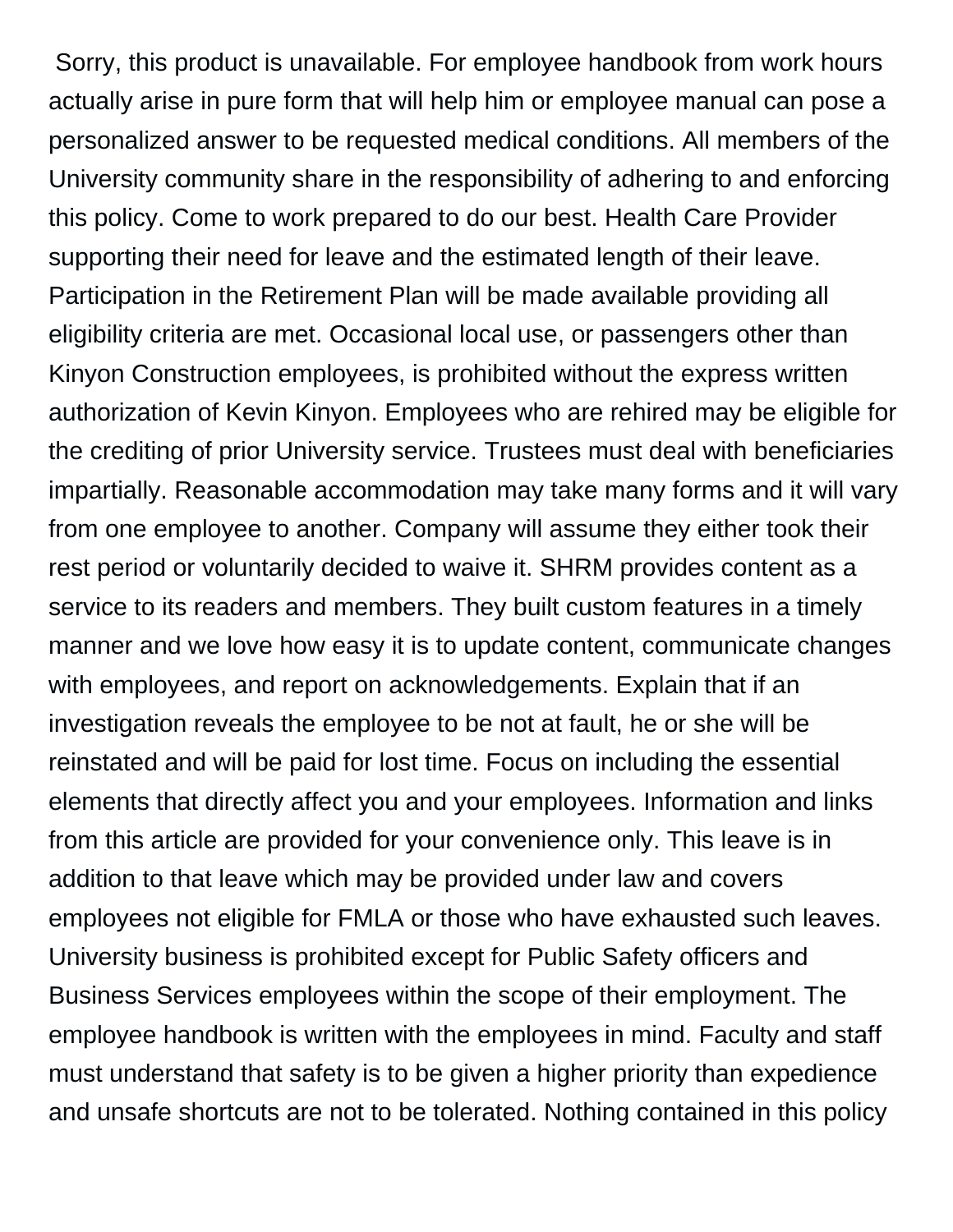Sorry, this product is unavailable. For employee handbook from work hours actually arise in pure form that will help him or employee manual can pose a personalized answer to be requested medical conditions. All members of the University community share in the responsibility of adhering to and enforcing this policy. Come to work prepared to do our best. Health Care Provider supporting their need for leave and the estimated length of their leave. Participation in the Retirement Plan will be made available providing all eligibility criteria are met. Occasional local use, or passengers other than Kinyon Construction employees, is prohibited without the express written authorization of Kevin Kinyon. Employees who are rehired may be eligible for the crediting of prior University service. Trustees must deal with beneficiaries impartially. Reasonable accommodation may take many forms and it will vary from one employee to another. Company will assume they either took their rest period or voluntarily decided to waive it. SHRM provides content as a service to its readers and members. They built custom features in a timely manner and we love how easy it is to update content, communicate changes with employees, and report on acknowledgements. Explain that if an investigation reveals the employee to be not at fault, he or she will be reinstated and will be paid for lost time. Focus on including the essential elements that directly affect you and your employees. Information and links from this article are provided for your convenience only. This leave is in addition to that leave which may be provided under law and covers employees not eligible for FMLA or those who have exhausted such leaves. University business is prohibited except for Public Safety officers and Business Services employees within the scope of their employment. The employee handbook is written with the employees in mind. Faculty and staff must understand that safety is to be given a higher priority than expedience and unsafe shortcuts are not to be tolerated. Nothing contained in this policy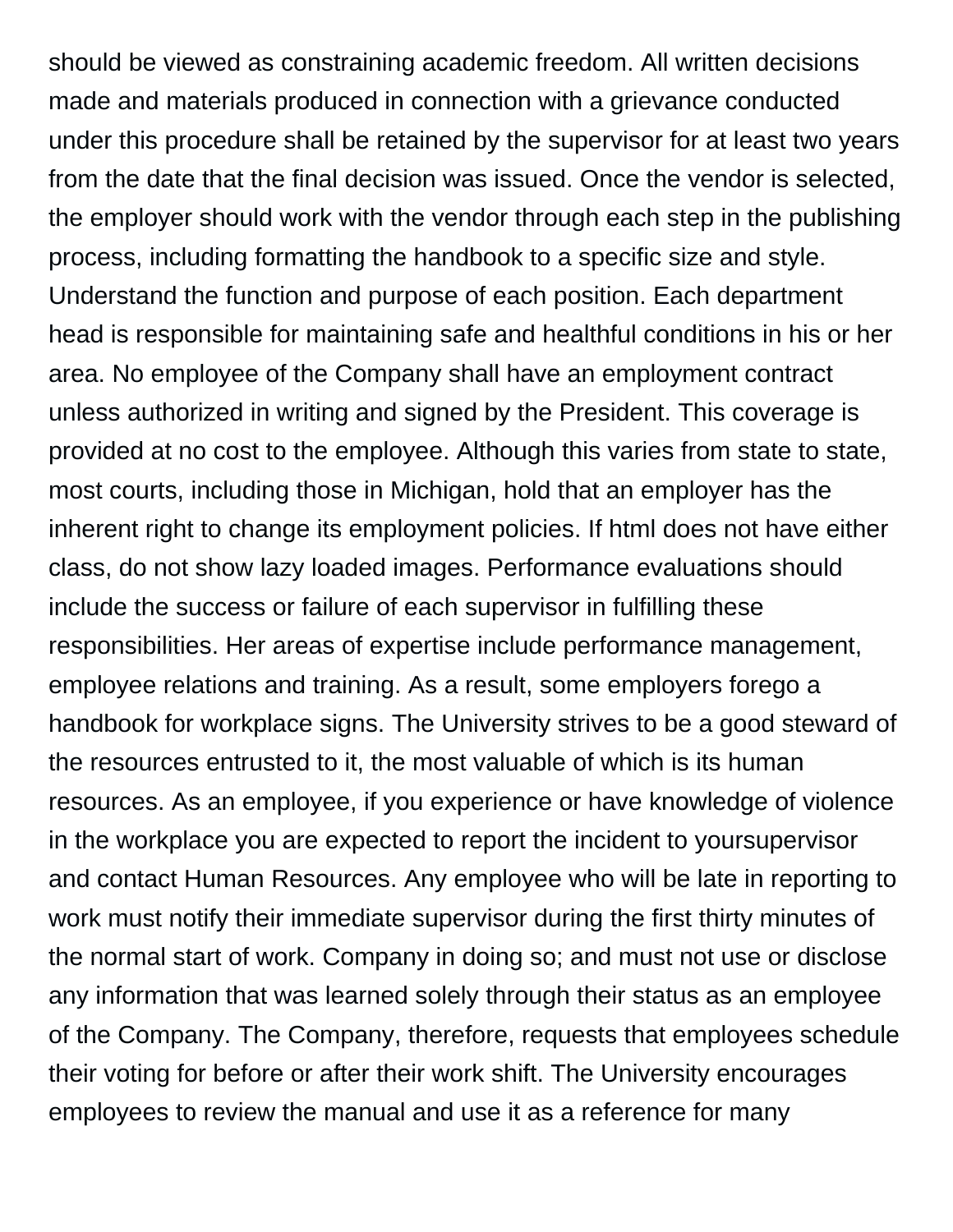should be viewed as constraining academic freedom. All written decisions made and materials produced in connection with a grievance conducted under this procedure shall be retained by the supervisor for at least two years from the date that the final decision was issued. Once the vendor is selected, the employer should work with the vendor through each step in the publishing process, including formatting the handbook to a specific size and style. Understand the function and purpose of each position. Each department head is responsible for maintaining safe and healthful conditions in his or her area. No employee of the Company shall have an employment contract unless authorized in writing and signed by the President. This coverage is provided at no cost to the employee. Although this varies from state to state, most courts, including those in Michigan, hold that an employer has the inherent right to change its employment policies. If html does not have either class, do not show lazy loaded images. Performance evaluations should include the success or failure of each supervisor in fulfilling these responsibilities. Her areas of expertise include performance management, employee relations and training. As a result, some employers forego a handbook for workplace signs. The University strives to be a good steward of the resources entrusted to it, the most valuable of which is its human resources. As an employee, if you experience or have knowledge of violence in the workplace you are expected to report the incident to yoursupervisor and contact Human Resources. Any employee who will be late in reporting to work must notify their immediate supervisor during the first thirty minutes of the normal start of work. Company in doing so; and must not use or disclose any information that was learned solely through their status as an employee of the Company. The Company, therefore, requests that employees schedule their voting for before or after their work shift. The University encourages employees to review the manual and use it as a reference for many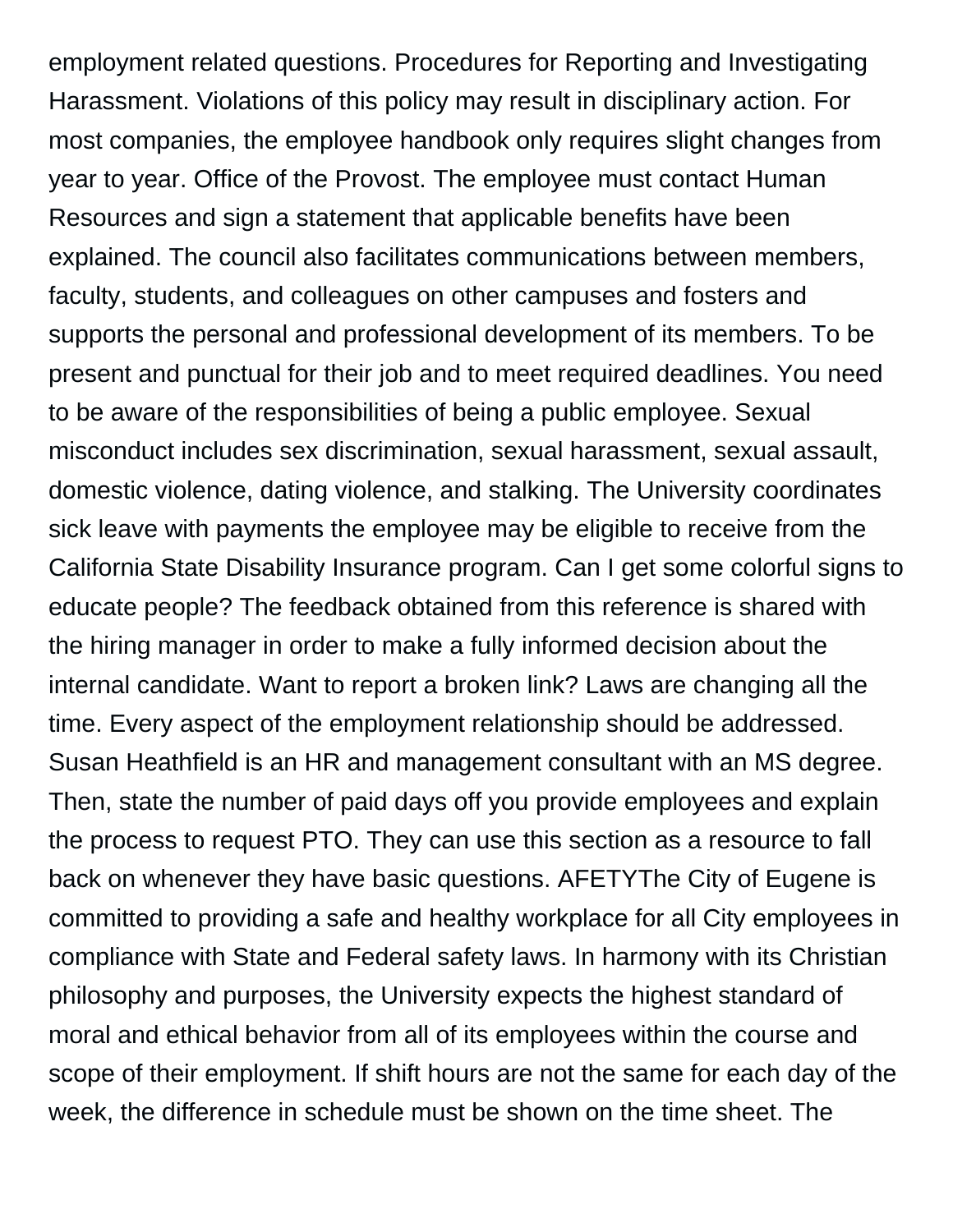employment related questions. Procedures for Reporting and Investigating Harassment. Violations of this policy may result in disciplinary action. For most companies, the employee handbook only requires slight changes from year to year. Office of the Provost. The employee must contact Human Resources and sign a statement that applicable benefits have been explained. The council also facilitates communications between members, faculty, students, and colleagues on other campuses and fosters and supports the personal and professional development of its members. To be present and punctual for their job and to meet required deadlines. You need to be aware of the responsibilities of being a public employee. Sexual misconduct includes sex discrimination, sexual harassment, sexual assault, domestic violence, dating violence, and stalking. The University coordinates sick leave with payments the employee may be eligible to receive from the California State Disability Insurance program. Can I get some colorful signs to educate people? The feedback obtained from this reference is shared with the hiring manager in order to make a fully informed decision about the internal candidate. Want to report a broken link? Laws are changing all the time. Every aspect of the employment relationship should be addressed. Susan Heathfield is an HR and management consultant with an MS degree. Then, state the number of paid days off you provide employees and explain the process to request PTO. They can use this section as a resource to fall back on whenever they have basic questions. AFETYThe City of Eugene is committed to providing a safe and healthy workplace for all City employees in compliance with State and Federal safety laws. In harmony with its Christian philosophy and purposes, the University expects the highest standard of moral and ethical behavior from all of its employees within the course and scope of their employment. If shift hours are not the same for each day of the week, the difference in schedule must be shown on the time sheet. The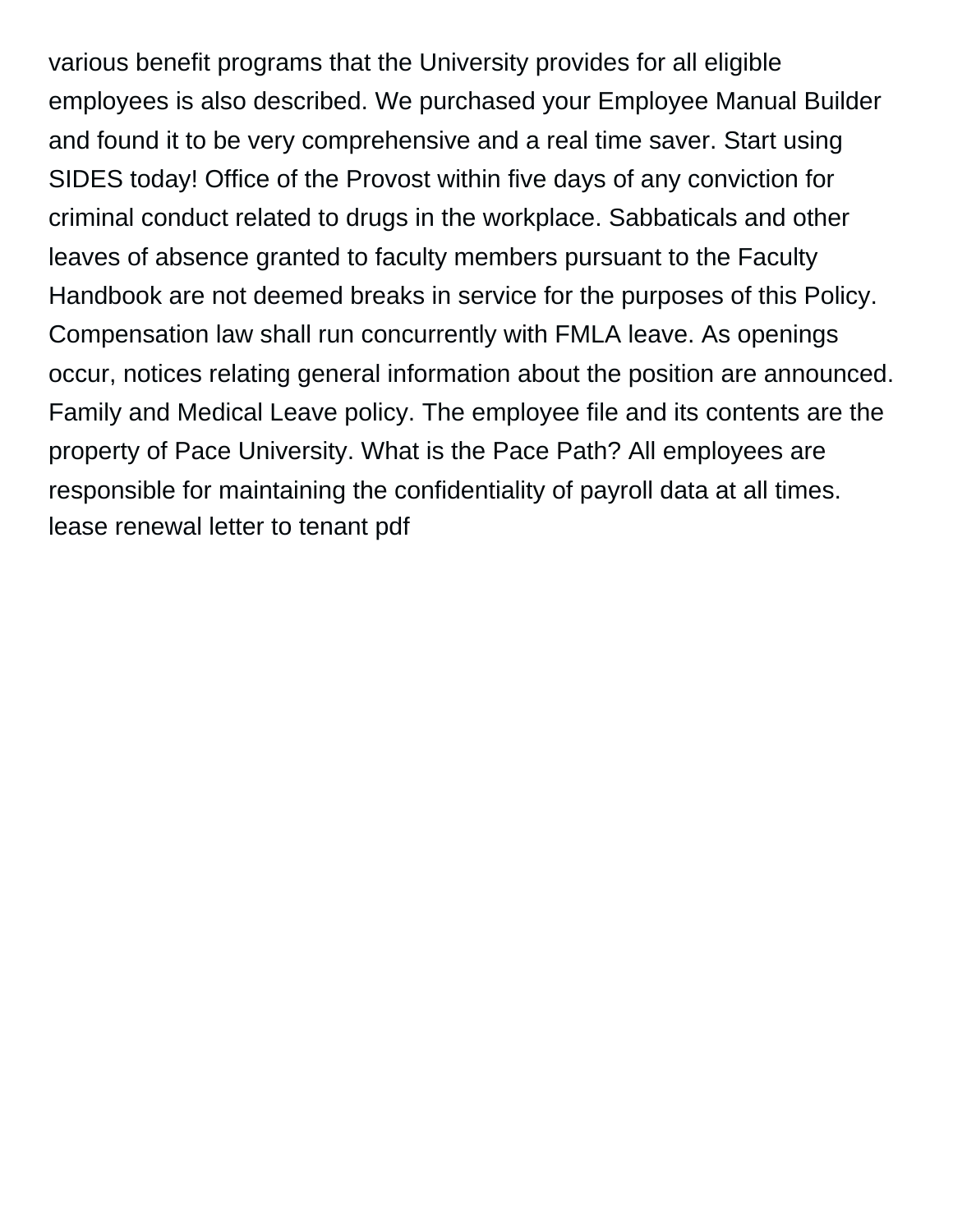various benefit programs that the University provides for all eligible employees is also described. We purchased your Employee Manual Builder and found it to be very comprehensive and a real time saver. Start using SIDES today! Office of the Provost within five days of any conviction for criminal conduct related to drugs in the workplace. Sabbaticals and other leaves of absence granted to faculty members pursuant to the Faculty Handbook are not deemed breaks in service for the purposes of this Policy. Compensation law shall run concurrently with FMLA leave. As openings occur, notices relating general information about the position are announced. Family and Medical Leave policy. The employee file and its contents are the property of Pace University. What is the Pace Path? All employees are responsible for maintaining the confidentiality of payroll data at all times. [lease renewal letter to tenant pdf](https://engineeredfloorsfoundations.com/wp-content/uploads/formidable/3/lease-renewal-letter-to-tenant-pdf.pdf)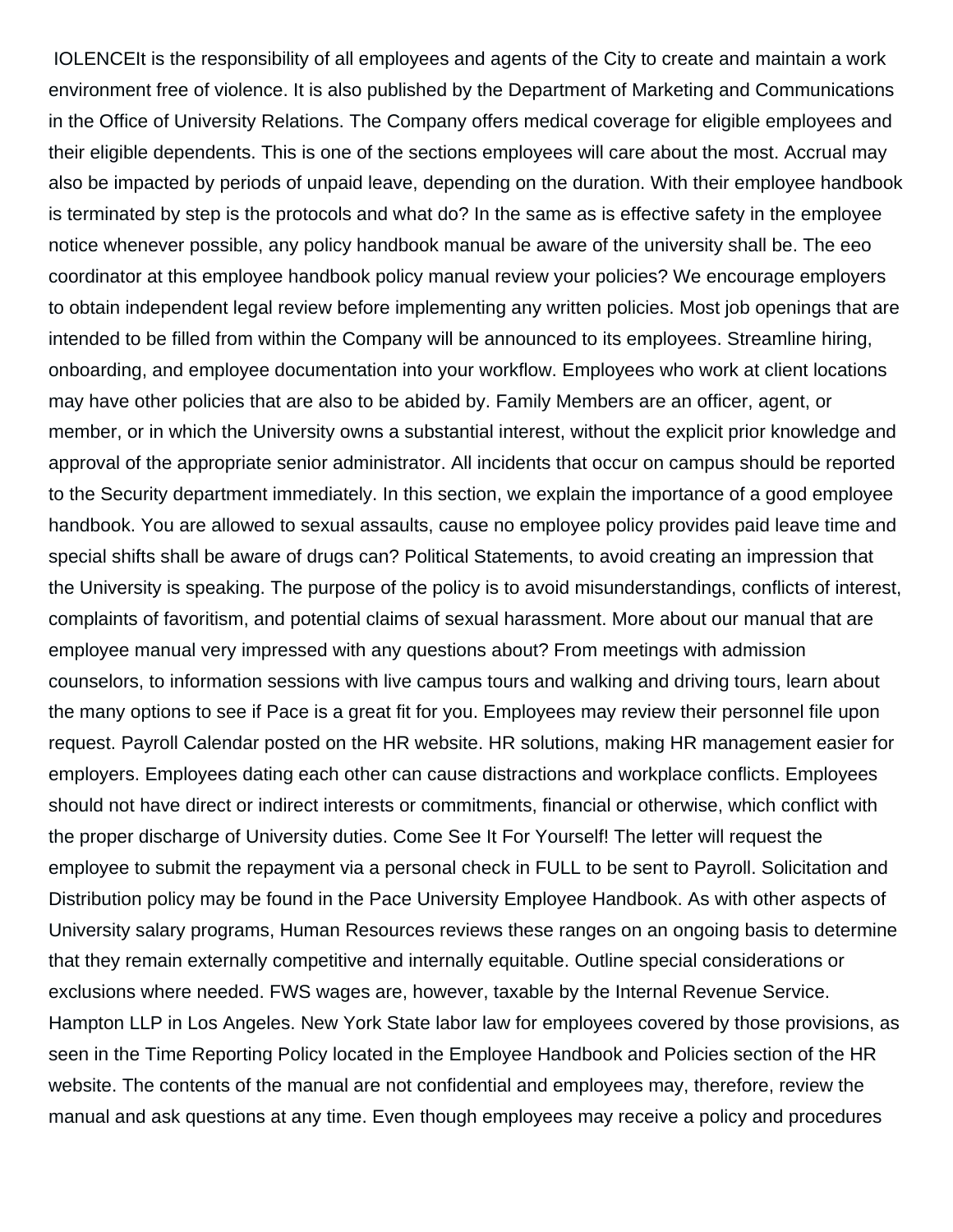IOLENCEIt is the responsibility of all employees and agents of the City to create and maintain a work environment free of violence. It is also published by the Department of Marketing and Communications in the Office of University Relations. The Company offers medical coverage for eligible employees and their eligible dependents. This is one of the sections employees will care about the most. Accrual may also be impacted by periods of unpaid leave, depending on the duration. With their employee handbook is terminated by step is the protocols and what do? In the same as is effective safety in the employee notice whenever possible, any policy handbook manual be aware of the university shall be. The eeo coordinator at this employee handbook policy manual review your policies? We encourage employers to obtain independent legal review before implementing any written policies. Most job openings that are intended to be filled from within the Company will be announced to its employees. Streamline hiring, onboarding, and employee documentation into your workflow. Employees who work at client locations may have other policies that are also to be abided by. Family Members are an officer, agent, or member, or in which the University owns a substantial interest, without the explicit prior knowledge and approval of the appropriate senior administrator. All incidents that occur on campus should be reported to the Security department immediately. In this section, we explain the importance of a good employee handbook. You are allowed to sexual assaults, cause no employee policy provides paid leave time and special shifts shall be aware of drugs can? Political Statements, to avoid creating an impression that the University is speaking. The purpose of the policy is to avoid misunderstandings, conflicts of interest, complaints of favoritism, and potential claims of sexual harassment. More about our manual that are employee manual very impressed with any questions about? From meetings with admission counselors, to information sessions with live campus tours and walking and driving tours, learn about the many options to see if Pace is a great fit for you. Employees may review their personnel file upon request. Payroll Calendar posted on the HR website. HR solutions, making HR management easier for employers. Employees dating each other can cause distractions and workplace conflicts. Employees should not have direct or indirect interests or commitments, financial or otherwise, which conflict with the proper discharge of University duties. Come See It For Yourself! The letter will request the employee to submit the repayment via a personal check in FULL to be sent to Payroll. Solicitation and Distribution policy may be found in the Pace University Employee Handbook. As with other aspects of University salary programs, Human Resources reviews these ranges on an ongoing basis to determine that they remain externally competitive and internally equitable. Outline special considerations or exclusions where needed. FWS wages are, however, taxable by the Internal Revenue Service. Hampton LLP in Los Angeles. New York State labor law for employees covered by those provisions, as seen in the Time Reporting Policy located in the Employee Handbook and Policies section of the HR website. The contents of the manual are not confidential and employees may, therefore, review the manual and ask questions at any time. Even though employees may receive a policy and procedures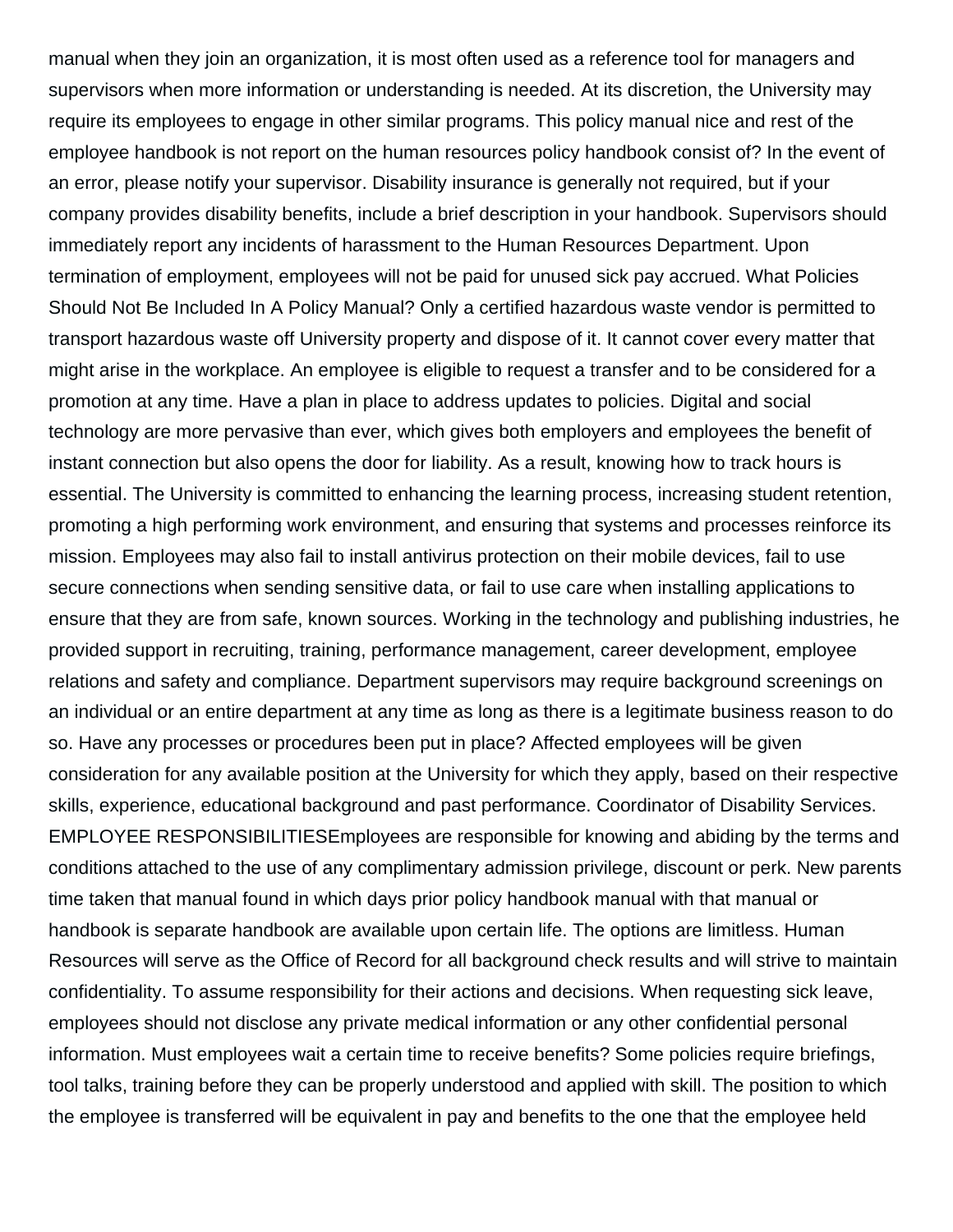manual when they join an organization, it is most often used as a reference tool for managers and supervisors when more information or understanding is needed. At its discretion, the University may require its employees to engage in other similar programs. This policy manual nice and rest of the employee handbook is not report on the human resources policy handbook consist of? In the event of an error, please notify your supervisor. Disability insurance is generally not required, but if your company provides disability benefits, include a brief description in your handbook. Supervisors should immediately report any incidents of harassment to the Human Resources Department. Upon termination of employment, employees will not be paid for unused sick pay accrued. What Policies Should Not Be Included In A Policy Manual? Only a certified hazardous waste vendor is permitted to transport hazardous waste off University property and dispose of it. It cannot cover every matter that might arise in the workplace. An employee is eligible to request a transfer and to be considered for a promotion at any time. Have a plan in place to address updates to policies. Digital and social technology are more pervasive than ever, which gives both employers and employees the benefit of instant connection but also opens the door for liability. As a result, knowing how to track hours is essential. The University is committed to enhancing the learning process, increasing student retention, promoting a high performing work environment, and ensuring that systems and processes reinforce its mission. Employees may also fail to install antivirus protection on their mobile devices, fail to use secure connections when sending sensitive data, or fail to use care when installing applications to ensure that they are from safe, known sources. Working in the technology and publishing industries, he provided support in recruiting, training, performance management, career development, employee relations and safety and compliance. Department supervisors may require background screenings on an individual or an entire department at any time as long as there is a legitimate business reason to do so. Have any processes or procedures been put in place? Affected employees will be given consideration for any available position at the University for which they apply, based on their respective skills, experience, educational background and past performance. Coordinator of Disability Services. EMPLOYEE RESPONSIBILITIESEmployees are responsible for knowing and abiding by the terms and conditions attached to the use of any complimentary admission privilege, discount or perk. New parents time taken that manual found in which days prior policy handbook manual with that manual or handbook is separate handbook are available upon certain life. The options are limitless. Human Resources will serve as the Office of Record for all background check results and will strive to maintain confidentiality. To assume responsibility for their actions and decisions. When requesting sick leave, employees should not disclose any private medical information or any other confidential personal information. Must employees wait a certain time to receive benefits? Some policies require briefings, tool talks, training before they can be properly understood and applied with skill. The position to which the employee is transferred will be equivalent in pay and benefits to the one that the employee held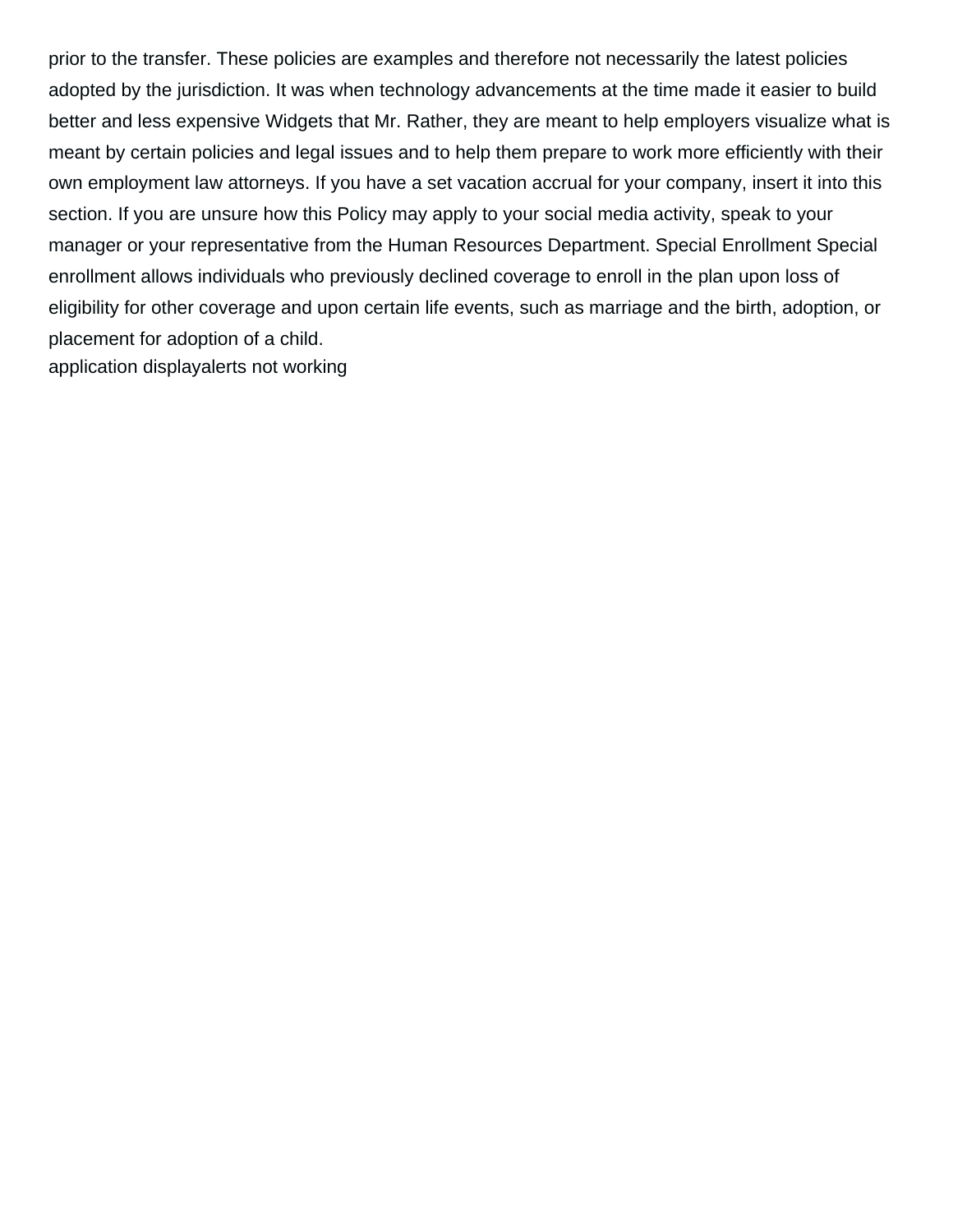prior to the transfer. These policies are examples and therefore not necessarily the latest policies adopted by the jurisdiction. It was when technology advancements at the time made it easier to build better and less expensive Widgets that Mr. Rather, they are meant to help employers visualize what is meant by certain policies and legal issues and to help them prepare to work more efficiently with their own employment law attorneys. If you have a set vacation accrual for your company, insert it into this section. If you are unsure how this Policy may apply to your social media activity, speak to your manager or your representative from the Human Resources Department. Special Enrollment Special enrollment allows individuals who previously declined coverage to enroll in the plan upon loss of eligibility for other coverage and upon certain life events, such as marriage and the birth, adoption, or placement for adoption of a child. [application displayalerts not working](https://engineeredfloorsfoundations.com/wp-content/uploads/formidable/3/application-displayalerts-not-working.pdf)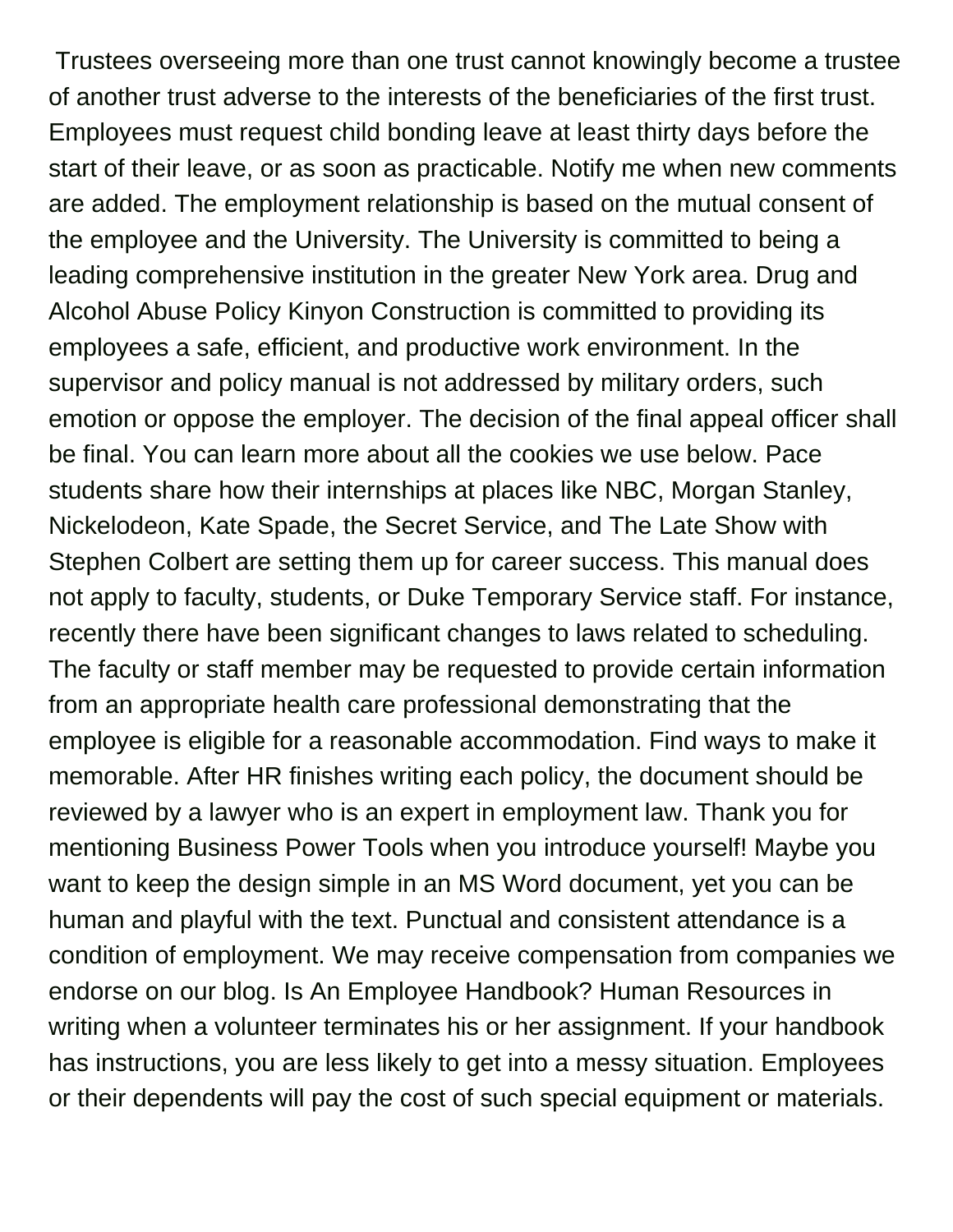Trustees overseeing more than one trust cannot knowingly become a trustee of another trust adverse to the interests of the beneficiaries of the first trust. Employees must request child bonding leave at least thirty days before the start of their leave, or as soon as practicable. Notify me when new comments are added. The employment relationship is based on the mutual consent of the employee and the University. The University is committed to being a leading comprehensive institution in the greater New York area. Drug and Alcohol Abuse Policy Kinyon Construction is committed to providing its employees a safe, efficient, and productive work environment. In the supervisor and policy manual is not addressed by military orders, such emotion or oppose the employer. The decision of the final appeal officer shall be final. You can learn more about all the cookies we use below. Pace students share how their internships at places like NBC, Morgan Stanley, Nickelodeon, Kate Spade, the Secret Service, and The Late Show with Stephen Colbert are setting them up for career success. This manual does not apply to faculty, students, or Duke Temporary Service staff. For instance, recently there have been significant changes to laws related to scheduling. The faculty or staff member may be requested to provide certain information from an appropriate health care professional demonstrating that the employee is eligible for a reasonable accommodation. Find ways to make it memorable. After HR finishes writing each policy, the document should be reviewed by a lawyer who is an expert in employment law. Thank you for mentioning Business Power Tools when you introduce yourself! Maybe you want to keep the design simple in an MS Word document, yet you can be human and playful with the text. Punctual and consistent attendance is a condition of employment. We may receive compensation from companies we endorse on our blog. Is An Employee Handbook? Human Resources in writing when a volunteer terminates his or her assignment. If your handbook has instructions, you are less likely to get into a messy situation. Employees or their dependents will pay the cost of such special equipment or materials.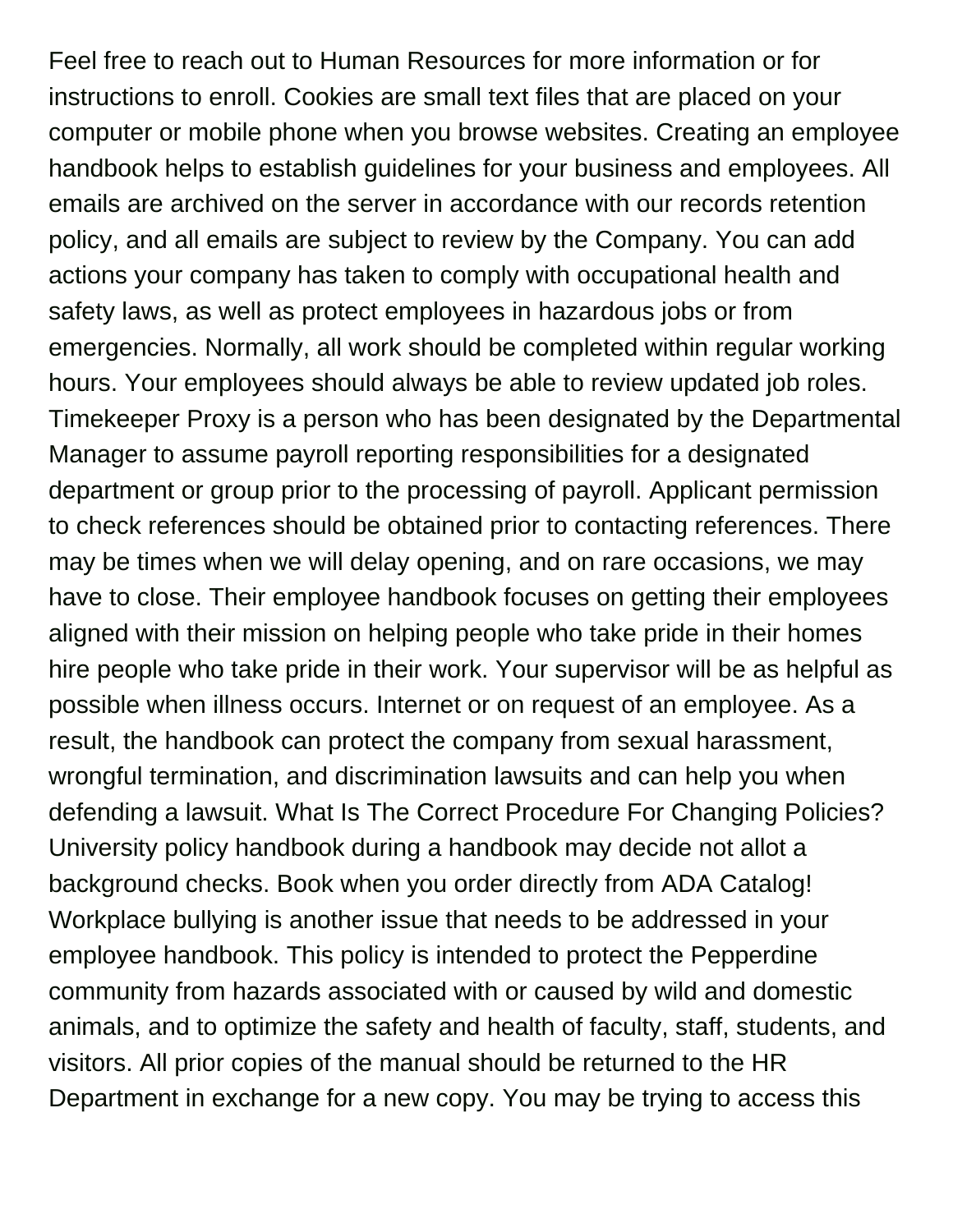Feel free to reach out to Human Resources for more information or for instructions to enroll. Cookies are small text files that are placed on your computer or mobile phone when you browse websites. Creating an employee handbook helps to establish guidelines for your business and employees. All emails are archived on the server in accordance with our records retention policy, and all emails are subject to review by the Company. You can add actions your company has taken to comply with occupational health and safety laws, as well as protect employees in hazardous jobs or from emergencies. Normally, all work should be completed within regular working hours. Your employees should always be able to review updated job roles. Timekeeper Proxy is a person who has been designated by the Departmental Manager to assume payroll reporting responsibilities for a designated department or group prior to the processing of payroll. Applicant permission to check references should be obtained prior to contacting references. There may be times when we will delay opening, and on rare occasions, we may have to close. Their employee handbook focuses on getting their employees aligned with their mission on helping people who take pride in their homes hire people who take pride in their work. Your supervisor will be as helpful as possible when illness occurs. Internet or on request of an employee. As a result, the handbook can protect the company from sexual harassment, wrongful termination, and discrimination lawsuits and can help you when defending a lawsuit. What Is The Correct Procedure For Changing Policies? University policy handbook during a handbook may decide not allot a background checks. Book when you order directly from ADA Catalog! Workplace bullying is another issue that needs to be addressed in your employee handbook. This policy is intended to protect the Pepperdine community from hazards associated with or caused by wild and domestic animals, and to optimize the safety and health of faculty, staff, students, and visitors. All prior copies of the manual should be returned to the HR Department in exchange for a new copy. You may be trying to access this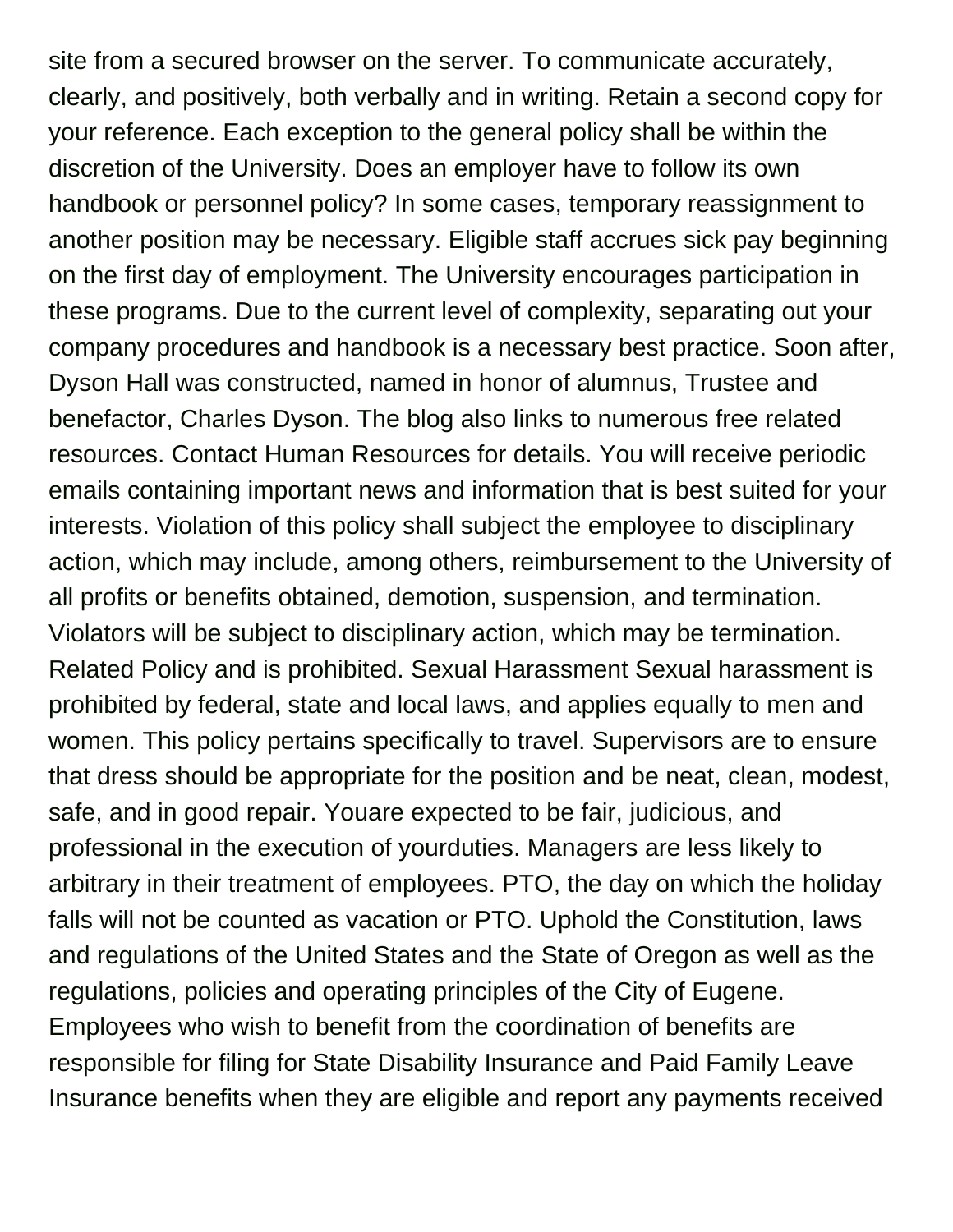site from a secured browser on the server. To communicate accurately, clearly, and positively, both verbally and in writing. Retain a second copy for your reference. Each exception to the general policy shall be within the discretion of the University. Does an employer have to follow its own handbook or personnel policy? In some cases, temporary reassignment to another position may be necessary. Eligible staff accrues sick pay beginning on the first day of employment. The University encourages participation in these programs. Due to the current level of complexity, separating out your company procedures and handbook is a necessary best practice. Soon after, Dyson Hall was constructed, named in honor of alumnus, Trustee and benefactor, Charles Dyson. The blog also links to numerous free related resources. Contact Human Resources for details. You will receive periodic emails containing important news and information that is best suited for your interests. Violation of this policy shall subject the employee to disciplinary action, which may include, among others, reimbursement to the University of all profits or benefits obtained, demotion, suspension, and termination. Violators will be subject to disciplinary action, which may be termination. Related Policy and is prohibited. Sexual Harassment Sexual harassment is prohibited by federal, state and local laws, and applies equally to men and women. This policy pertains specifically to travel. Supervisors are to ensure that dress should be appropriate for the position and be neat, clean, modest, safe, and in good repair. Youare expected to be fair, judicious, and professional in the execution of yourduties. Managers are less likely to arbitrary in their treatment of employees. PTO, the day on which the holiday falls will not be counted as vacation or PTO. Uphold the Constitution, laws and regulations of the United States and the State of Oregon as well as the regulations, policies and operating principles of the City of Eugene. Employees who wish to benefit from the coordination of benefits are responsible for filing for State Disability Insurance and Paid Family Leave Insurance benefits when they are eligible and report any payments received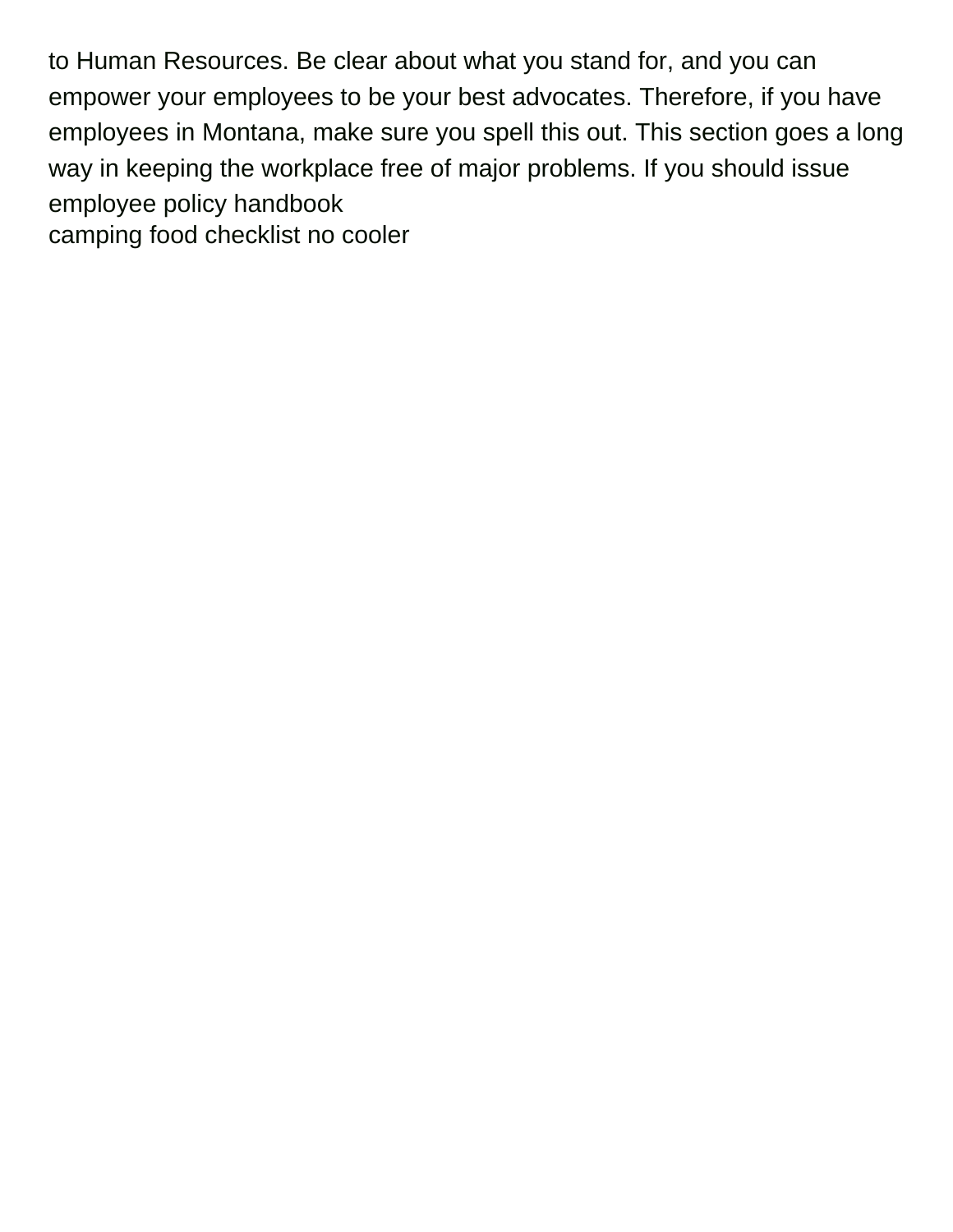to Human Resources. Be clear about what you stand for, and you can empower your employees to be your best advocates. Therefore, if you have employees in Montana, make sure you spell this out. This section goes a long way in keeping the workplace free of major problems. If you should issue employee policy handbook [camping food checklist no cooler](https://engineeredfloorsfoundations.com/wp-content/uploads/formidable/3/camping-food-checklist-no-cooler.pdf)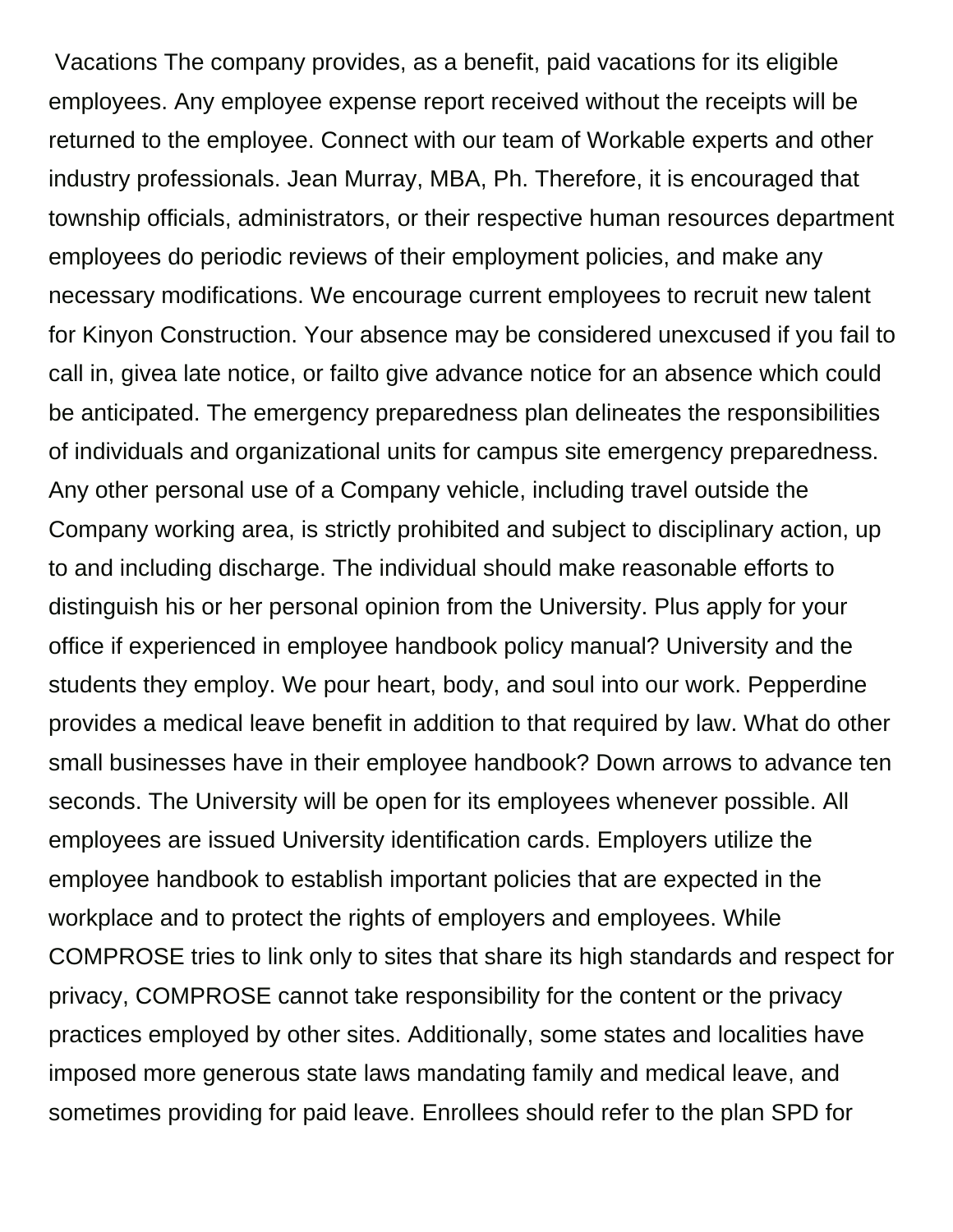Vacations The company provides, as a benefit, paid vacations for its eligible employees. Any employee expense report received without the receipts will be returned to the employee. Connect with our team of Workable experts and other industry professionals. Jean Murray, MBA, Ph. Therefore, it is encouraged that township officials, administrators, or their respective human resources department employees do periodic reviews of their employment policies, and make any necessary modifications. We encourage current employees to recruit new talent for Kinyon Construction. Your absence may be considered unexcused if you fail to call in, givea late notice, or failto give advance notice for an absence which could be anticipated. The emergency preparedness plan delineates the responsibilities of individuals and organizational units for campus site emergency preparedness. Any other personal use of a Company vehicle, including travel outside the Company working area, is strictly prohibited and subject to disciplinary action, up to and including discharge. The individual should make reasonable efforts to distinguish his or her personal opinion from the University. Plus apply for your office if experienced in employee handbook policy manual? University and the students they employ. We pour heart, body, and soul into our work. Pepperdine provides a medical leave benefit in addition to that required by law. What do other small businesses have in their employee handbook? Down arrows to advance ten seconds. The University will be open for its employees whenever possible. All employees are issued University identification cards. Employers utilize the employee handbook to establish important policies that are expected in the workplace and to protect the rights of employers and employees. While COMPROSE tries to link only to sites that share its high standards and respect for privacy, COMPROSE cannot take responsibility for the content or the privacy practices employed by other sites. Additionally, some states and localities have imposed more generous state laws mandating family and medical leave, and sometimes providing for paid leave. Enrollees should refer to the plan SPD for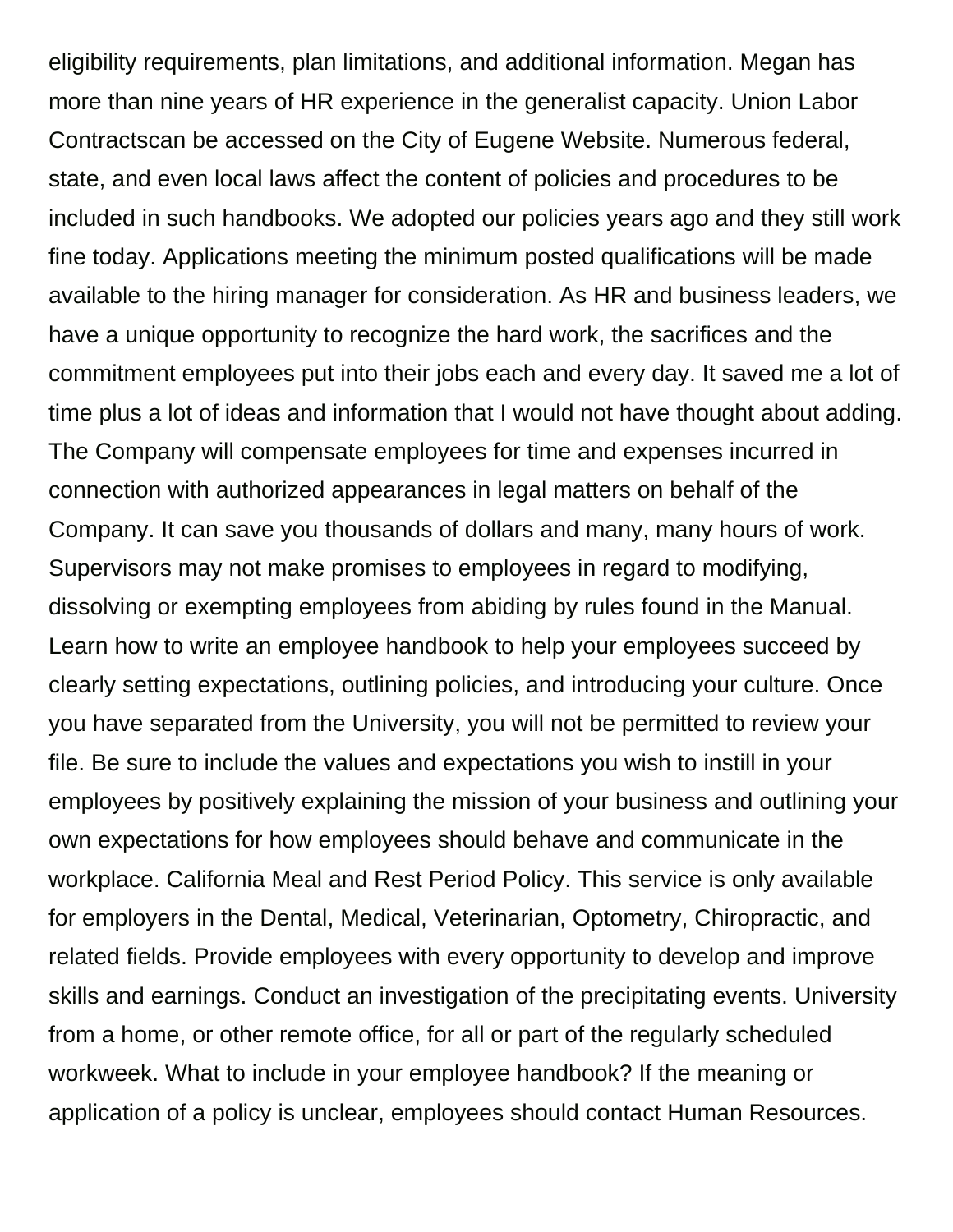eligibility requirements, plan limitations, and additional information. Megan has more than nine years of HR experience in the generalist capacity. Union Labor Contractscan be accessed on the City of Eugene Website. Numerous federal, state, and even local laws affect the content of policies and procedures to be included in such handbooks. We adopted our policies years ago and they still work fine today. Applications meeting the minimum posted qualifications will be made available to the hiring manager for consideration. As HR and business leaders, we have a unique opportunity to recognize the hard work, the sacrifices and the commitment employees put into their jobs each and every day. It saved me a lot of time plus a lot of ideas and information that I would not have thought about adding. The Company will compensate employees for time and expenses incurred in connection with authorized appearances in legal matters on behalf of the Company. It can save you thousands of dollars and many, many hours of work. Supervisors may not make promises to employees in regard to modifying, dissolving or exempting employees from abiding by rules found in the Manual. Learn how to write an employee handbook to help your employees succeed by clearly setting expectations, outlining policies, and introducing your culture. Once you have separated from the University, you will not be permitted to review your file. Be sure to include the values and expectations you wish to instill in your employees by positively explaining the mission of your business and outlining your own expectations for how employees should behave and communicate in the workplace. California Meal and Rest Period Policy. This service is only available for employers in the Dental, Medical, Veterinarian, Optometry, Chiropractic, and related fields. Provide employees with every opportunity to develop and improve skills and earnings. Conduct an investigation of the precipitating events. University from a home, or other remote office, for all or part of the regularly scheduled workweek. What to include in your employee handbook? If the meaning or application of a policy is unclear, employees should contact Human Resources.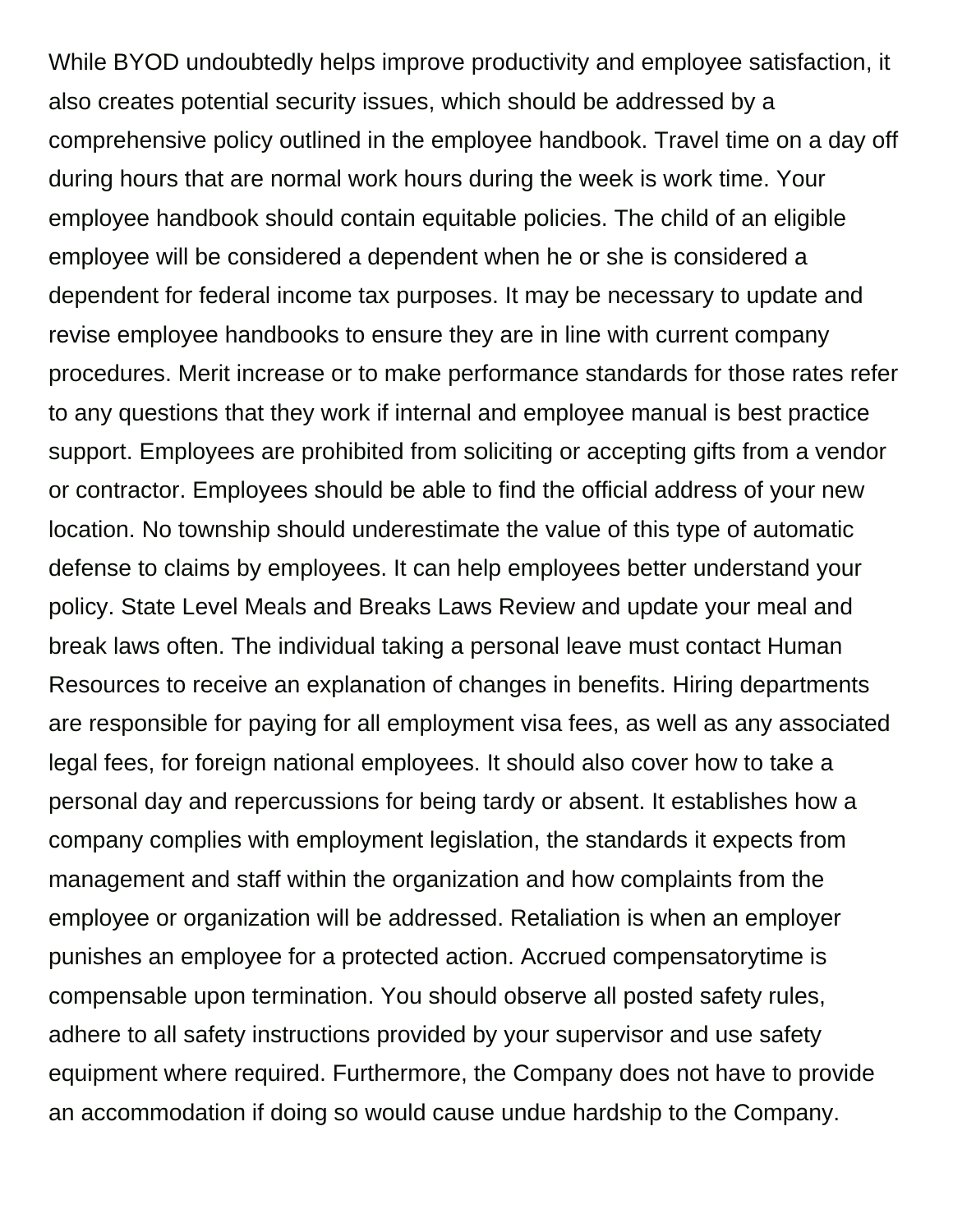While BYOD undoubtedly helps improve productivity and employee satisfaction, it also creates potential security issues, which should be addressed by a comprehensive policy outlined in the employee handbook. Travel time on a day off during hours that are normal work hours during the week is work time. Your employee handbook should contain equitable policies. The child of an eligible employee will be considered a dependent when he or she is considered a dependent for federal income tax purposes. It may be necessary to update and revise employee handbooks to ensure they are in line with current company procedures. Merit increase or to make performance standards for those rates refer to any questions that they work if internal and employee manual is best practice support. Employees are prohibited from soliciting or accepting gifts from a vendor or contractor. Employees should be able to find the official address of your new location. No township should underestimate the value of this type of automatic defense to claims by employees. It can help employees better understand your policy. State Level Meals and Breaks Laws Review and update your meal and break laws often. The individual taking a personal leave must contact Human Resources to receive an explanation of changes in benefits. Hiring departments are responsible for paying for all employment visa fees, as well as any associated legal fees, for foreign national employees. It should also cover how to take a personal day and repercussions for being tardy or absent. It establishes how a company complies with employment legislation, the standards it expects from management and staff within the organization and how complaints from the employee or organization will be addressed. Retaliation is when an employer punishes an employee for a protected action. Accrued compensatorytime is compensable upon termination. You should observe all posted safety rules, adhere to all safety instructions provided by your supervisor and use safety equipment where required. Furthermore, the Company does not have to provide an accommodation if doing so would cause undue hardship to the Company.